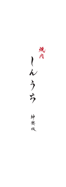域內 しんうち

神楽坂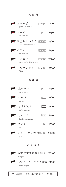霜降肉

| マ上カルビ<br>Special beef short rib          | タレ  塩        | ¥2000              |
|------------------------------------------|--------------|--------------------|
| マ カルビ<br>Beef short rib                  |              | <b>タレ ¥I500</b>    |
| ▼【 厚切り上ハラミ<br>Thick sliced outside skirt | タレ  塩  ¥3600 |                    |
| せいラミ<br>Beef outside skirt               | タレ幅 ¥2500    |                    |
| ← 上ミスジ<br>Special beef top blade muscle  | タレ阻 ¥2900    |                    |
| そ トモサンカク<br>Tri-tip                      | タレ国 ¥2300    |                    |
| 赤身肉                                      |              |                    |
| 上ロース<br>H<br>Special beef loin           |              | タレ ¥2500           |
| ロース<br><b>A</b><br>Beef loin             |              | $700$ ¥I800        |
| とうがらし<br>$\sqrt{2}$<br>Beef chuck tender | タレ           | ¥2200              |
| しんしん<br>Knuckle main muscle              |              | $3 \text{V}$ ¥2200 |
| フィレ<br>Fillet                            |              | 塩  ¥3300           |
| シャトーブリアン150g 厘 ¥9000<br>Chateau brian    |              |                    |
| すき焼き                                     |              |                    |



みすじすき焼き [割9下] ¥2800 Sukiyaki

 $\overline{\mathbf{r}}$ 

みすじトリュフすき焼き ¥3800 Truffle-Sukiyaki

名古屋コーチンの若たまご ¥300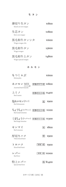| 薄切り生タン<br>Sliced cut row tongue             |                | ¥I8OO          |
|---------------------------------------------|----------------|----------------|
| 生芯タン<br>Row core tongue                     |                | ¥2800          |
| 黒毛和牛タンシタ<br>Wagyu tongue ribs               |                | ¥I6OO          |
| 黒毛和牛タン<br>Wagyu tongue                      |                | ¥3600          |
| 黒毛和牛上タン<br>Wagyu special tongue             |                | ¥4800          |
|                                             | ホルモン           |                |
| もつしゃぶ<br>Motusyabu                          |                | ¥I6OO          |
| ホルモン MIX<br>1.5 人前<br>Assorted beef Innards | 味噌 辛みそ 国 ¥I800 |                |
| 上ミノ<br>Beef rumen                           | 味噌 辛みそ 塩 ¥I400 |                |
| 塩ホルモン(キャラ)<br>Beef abomasum                 | 塩              | 4900           |
| ちょうちょ(コプチャン)<br>Beef small intestine        | 味噌 辛みそ 塩 ¥IIOO |                |
| しまちょう(テッチャン)<br>Beef large intestine        | 味噌 辛みそ 塩 ¥1300 |                |
| センマイ<br>Beef omasum                         |                | 塩  ¥800        |
| 厚切りハツ<br>Thick sliced heart                 | 塩              | ¥900           |
| トロハツ<br>Sliced beef heart                   | 味噌<br>塩        | ¥900           |
| レバー<br><b>Beef</b> liver                    | 味噌             | 」塩 ¥IOOO       |
| 特上レバー                                       |                | <b>塭 ¥I400</b> |

Special beef liver

¥1400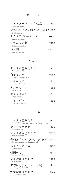| レアステーキユッケ仕立て                                | ¥I800 |
|---------------------------------------------|-------|
| Rare steak-Yukhoe<br>レアステーキユッケトリュフ什立て \2800 |       |
| Truffle Yukhoe                              |       |
| 上 ミ ノ 刺 (鬼おろしポン酢)<br>Beef rumen sashimi     | ¥HOO  |
| 生せんまい刺                                      | 4000  |
| Beef omasum sashimi<br>ハツ刺                  | ¥JOOO |
| Beef heart Sashimi                          |       |

キムチ

| キムチの盛り合わせ<br>Assorted kimuchi    | 1200 |
|----------------------------------|------|
| 白菜キムチ<br>Chinese cabbage kimuchi | 4600 |
| オイキムチ<br>Cucumber kimuchi        | ¥600 |
| カクテキ<br>Radish kimuchi           | ¥რიი |
| セロリキムチ<br>Celery kimuchi         | ¥600 |
| チャンジャ<br>Fish innards kimuchi    | ¥რიი |

一 品

| サンチュ盛り合わせ<br>Korean lettuce *Just put some beef on it and roll it up. | ¥7OO |
|-----------------------------------------------------------------------|------|
| チョレギサラダ<br>Korean style salad                                         | ¥800 |
| ノンオイル塩サラダ<br>Non-oil Salt salad                                       | ¥800 |
| 春菊とゴルゴンゾーラのサラダ \IOOO<br>Gorgonzola cheese and Crowndaisy salad        |      |
| ホルモン煮込み<br>Stewed innerds                                             | ¥700 |
| 韓国のり<br>Korean seaweed(nori)                                          | 4300 |
| ナムル盛り合わせ<br>Assorted namul                                            | ¥900 |
| 青森にんにくのオイル焼<br>Grilled garlic(AOMORI)                                 | ¥800 |
| 野菜焼盛り合わせ<br>Grilled mixed vegetable                                   | ¥7OO |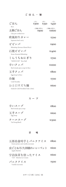ごはん・麺

| ごはん                                           | (中)             | (大)<br>¥300 ¥350 ¥450 |
|-----------------------------------------------|-----------------|-----------------------|
| Rice<br>土鍋ごはん<br>Clay pot cooked rice         | (茶碗2杯分)<br>¥900 | (茶碗4杯分)<br>¥1600      |
| 欧風和牛カレー<br>Japanese beef curry                |                 | ¥700                  |
| ドドンバ<br>Bibimbap (korean Mixed Rice)          |                 | ¥900                  |
| 石焼ビビンバ<br>Stone-Roasted Bibimbap              |                 | ¥I400                 |
| しんうちおにぎり<br>"SHINUCHI" Rice Ball              |                 | ¥700                  |
| 辛いクッパ<br>Beef streak spicy soup In Rice       |                 | ¥IOOO                 |
| 玉子クッパ<br>Egg Soup In Rice                     |                 | 4800                  |
| 冷麺<br>Cold Noodles                            |                 | ¥700                  |
| ひと口すだち麺<br>Sudachi Cold Noodles (Take a bite) |                 | ¥600                  |

辛いスープ 玉子スープ テールスープ Beef streak spicy soup Egg Soup Tail Soup(Beef) ¥800 ¥600 ¥1300

スープ

甘 味

| 五郎島金時芋とバニラアイス<br>Sweet potato and vanilla icecream | ¥800 |
|----------------------------------------------------|------|
| 皮ごとおろした林檎のシャーベット<br>Apple Sherbet                  | ¥600 |
| 宇治抹茶を使ったアイス<br>"UJI" Matcha Ice Cream              | ¥რიი |
| バニラアイス<br>Vanilla Icecream                         | ¥500 |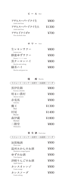ビール Beer

| アサヒスーパードライ牛<br>Asahi draft beer  | $\angle$ 800 |
|----------------------------------|--------------|
| アサヒスーパードライ牛大<br>Asahi draft beer | 41300        |
| アサヒドライゼロ<br>Non alcoholic beer   | 4700         |

サワー sour

| 生レモンサワー<br>Lemon sour | $\angle$ 800 |
|-----------------------|--------------|
| 蜂蜜ゆずサワー               | $\angle 900$ |
|                       |              |
| $Honey --- sour$      |              |
| 黒ウーロンハイ               | 4800         |
| Shochu and oolong     |              |
| 緑茶ハイ                  | 4800         |
| Shochu and green tea  |              |
|                       |              |

|                          | 烍        | 酎 | Shochu |       |
|--------------------------|----------|---|--------|-------|
| $\mathbb{R}$             | ・ロック・水割り |   | ・お湯割   | ソーダ   |
| 黒伊佐錦<br>Kuroisa-nhishiki |          |   |        | ¥800  |
| 明るい農村                    |          |   |        | ¥900  |
| Akarui-nouson<br>赤兎馬     |          |   |        | ¥900  |
| Sekitoba<br>魔王           |          |   |        | ¥1300 |
| Maō<br>村尾                |          |   |        | ¥1400 |
| Murao                    |          |   |        |       |
| 森伊蔵<br>Moriizō           |          |   |        | ¥1800 |
| 二階堂<br>Nhikaidou         |          |   |        | ¥800  |
|                          |          |   |        |       |

果 実 酒 Fruit wine

| レート・ロック・水割り・お湯割・ソータ                 |      |
|-------------------------------------|------|
| 加賀梅酒<br>Plum wine                   | ¥900 |
| 温州みかんのお酒<br>Mandarin orange liqueur | ¥900 |
| ゆずのお酒<br>Yuzu liqueur               | ¥900 |
| 津軽りんごのお酒<br>Apple liqueur           | ¥900 |
| カシスオレンジ<br>Cassis orange            | 4900 |
| カシスソーダ<br>Cassis oolong             | ¥900 |
|                                     |      |